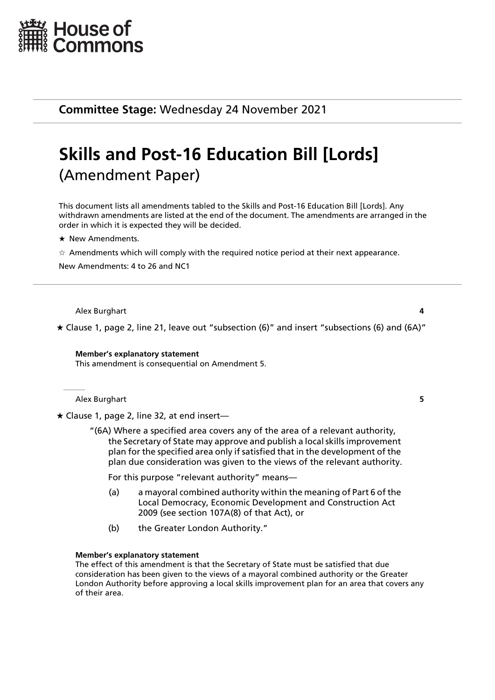

**Committee Stage:** Wednesday 24 November 2021

# **Skills and Post-16 Education Bill [Lords]** (Amendment Paper)

This document lists all amendments tabled to the Skills and Post-16 Education Bill [Lords]. Any withdrawn amendments are listed at the end of the document. The amendments are arranged in the order in which it is expected they will be decided.

 $\star$  New Amendments.

 $\star$  Amendments which will comply with the required notice period at their next appearance.

New Amendments: 4 to 26 and NC1

Alex Burghart **4**

 $\star$  Clause 1, page 2, line 21, leave out "subsection (6)" and insert "subsections (6) and (6A)"

**Member's explanatory statement** This amendment is consequential on Amendment 5.

Alex Burghart **5**

Clause 1, page 2, line 32, at end insert—

"(6A) Where a specified area covers any of the area of a relevant authority, the Secretary of State may approve and publish a local skills improvement plan for the specified area only if satisfied that in the development of the plan due consideration was given to the views of the relevant authority.

For this purpose "relevant authority" means—

- (a) a mayoral combined authority within the meaning of Part 6 of the Local Democracy, Economic Development and Construction Act 2009 (see section 107A(8) of that Act), or
- (b) the Greater London Authority."

#### **Member's explanatory statement**

The effect of this amendment is that the Secretary of State must be satisfied that due consideration has been given to the views of a mayoral combined authority or the Greater London Authority before approving a local skills improvement plan for an area that covers any of their area.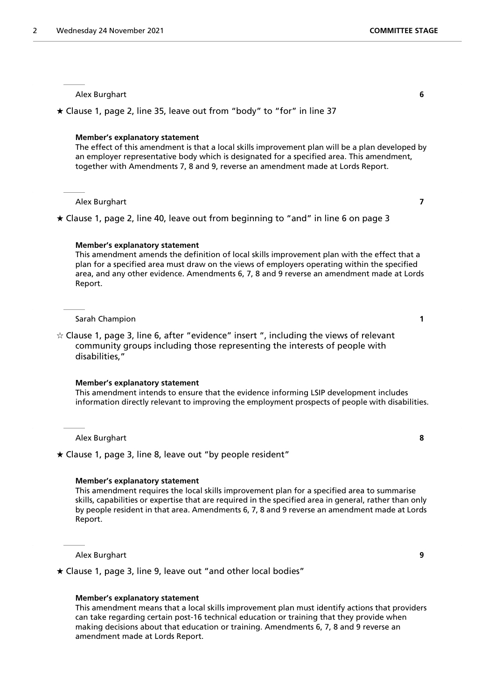$\star$  Clause 1, page 2, line 35, leave out from "body" to "for" in line 37

#### **Member's explanatory statement**

The effect of this amendment is that a local skills improvement plan will be a plan developed by an employer representative body which is designated for a specified area. This amendment, together with Amendments 7, 8 and 9, reverse an amendment made at Lords Report.

Alex Burghart **7**

 $\star$  Clause 1, page 2, line 40, leave out from beginning to "and" in line 6 on page 3

#### **Member's explanatory statement**

This amendment amends the definition of local skills improvement plan with the effect that a plan for a specified area must draw on the views of employers operating within the specified area, and any other evidence. Amendments 6, 7, 8 and 9 reverse an amendment made at Lords Report.

Sarah Champion **1**

 $\dot{\varphi}$  Clause 1, page 3, line 6, after "evidence" insert ", including the views of relevant community groups including those representing the interests of people with disabilities,"

#### **Member's explanatory statement**

This amendment intends to ensure that the evidence informing LSIP development includes information directly relevant to improving the employment prospects of people with disabilities.

Alex Burghart **8**

 $\star$  Clause 1, page 3, line 8, leave out "by people resident"

## **Member's explanatory statement**

This amendment requires the local skills improvement plan for a specified area to summarise skills, capabilities or expertise that are required in the specified area in general, rather than only by people resident in that area. Amendments 6, 7, 8 and 9 reverse an amendment made at Lords Report.

Alex Burghart **9**

Clause 1, page 3, line 9, leave out "and other local bodies"

#### **Member's explanatory statement**

This amendment means that a local skills improvement plan must identify actions that providers can take regarding certain post-16 technical education or training that they provide when making decisions about that education or training. Amendments 6, 7, 8 and 9 reverse an amendment made at Lords Report.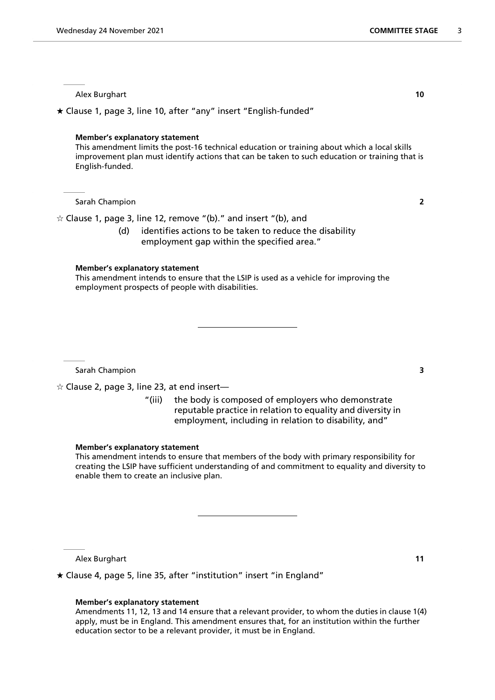Clause 1, page 3, line 10, after "any" insert "English-funded"

## **Member's explanatory statement**

This amendment limits the post-16 technical education or training about which a local skills improvement plan must identify actions that can be taken to such education or training that is English-funded.

Sarah Champion **2**

 $\hat{\varphi}$  Clause 1, page 3, line 12, remove "(b)." and insert "(b), and

(d) identifies actions to be taken to reduce the disability employment gap within the specified area."

# **Member's explanatory statement**

This amendment intends to ensure that the LSIP is used as a vehicle for improving the employment prospects of people with disabilities.

Sarah Champion **3**

 $\hat{\mathbf{z}}$  Clause 2, page 3, line 23, at end insert—

"(iii) the body is composed of employers who demonstrate reputable practice in relation to equality and diversity in employment, including in relation to disability, and"

#### **Member's explanatory statement**

This amendment intends to ensure that members of the body with primary responsibility for creating the LSIP have sufficient understanding of and commitment to equality and diversity to enable them to create an inclusive plan.

Alex Burghart **11**

Clause 4, page 5, line 35, after "institution" insert "in England"

# **Member's explanatory statement**

Amendments 11, 12, 13 and 14 ensure that a relevant provider, to whom the duties in clause 1(4) apply, must be in England. This amendment ensures that, for an institution within the further education sector to be a relevant provider, it must be in England.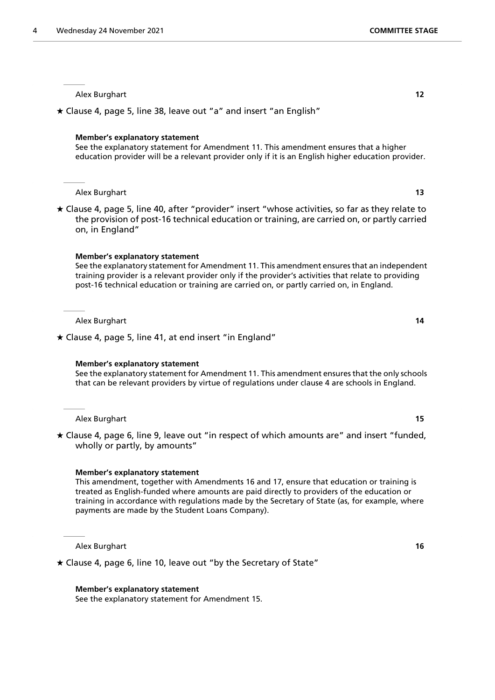Clause 4, page 5, line 38, leave out "a" and insert "an English"

#### **Member's explanatory statement**

See the explanatory statement for Amendment 11. This amendment ensures that a higher education provider will be a relevant provider only if it is an English higher education provider.

#### Alex Burghart **13**

 Clause 4, page 5, line 40, after "provider" insert "whose activities, so far as they relate to the provision of post-16 technical education or training, are carried on, or partly carried on, in England"

#### **Member's explanatory statement**

See the explanatory statement for Amendment 11. This amendment ensures that an independent training provider is a relevant provider only if the provider's activities that relate to providing post-16 technical education or training are carried on, or partly carried on, in England.

Alex Burghart **14**

 $\star$  Clause 4, page 5, line 41, at end insert "in England"

#### **Member's explanatory statement**

See the explanatory statement for Amendment 11. This amendment ensures that the only schools that can be relevant providers by virtue of regulations under clause 4 are schools in England.

Alex Burghart **15**

 Clause 4, page 6, line 9, leave out "in respect of which amounts are" and insert "funded, wholly or partly, by amounts"

#### **Member's explanatory statement**

This amendment, together with Amendments 16 and 17, ensure that education or training is treated as English-funded where amounts are paid directly to providers of the education or training in accordance with regulations made by the Secretary of State (as, for example, where payments are made by the Student Loans Company).

Alex Burghart **16**

Clause 4, page 6, line 10, leave out "by the Secretary of State"

**Member's explanatory statement**

See the explanatory statement for Amendment 15.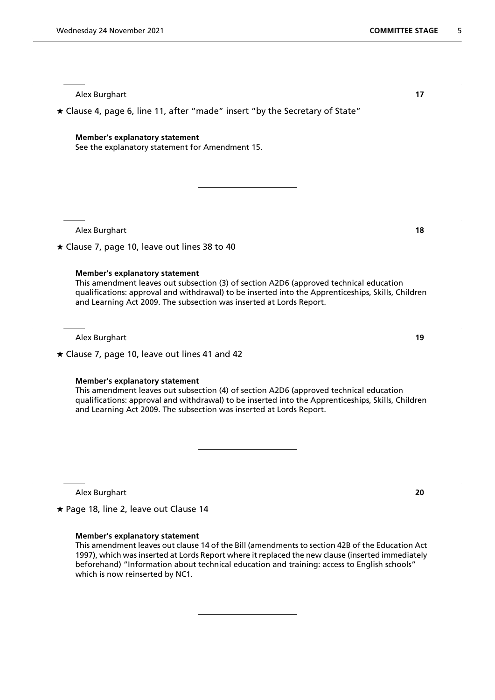Clause 4, page 6, line 11, after "made" insert "by the Secretary of State"

## **Member's explanatory statement**

See the explanatory statement for Amendment 15.

Alex Burghart **18**

 $\star$  Clause 7, page 10, leave out lines 38 to 40

#### **Member's explanatory statement**

This amendment leaves out subsection (3) of section A2D6 (approved technical education qualifications: approval and withdrawal) to be inserted into the Apprenticeships, Skills, Children and Learning Act 2009. The subsection was inserted at Lords Report.

Alex Burghart **19**

 $\star$  Clause 7, page 10, leave out lines 41 and 42

# **Member's explanatory statement**

This amendment leaves out subsection (4) of section A2D6 (approved technical education qualifications: approval and withdrawal) to be inserted into the Apprenticeships, Skills, Children and Learning Act 2009. The subsection was inserted at Lords Report.

Alex Burghart **20**

 $\star$  Page 18, line 2, leave out Clause 14

# **Member's explanatory statement**

This amendment leaves out clause 14 of the Bill (amendments to section 42B of the Education Act 1997), which was inserted at Lords Report where it replaced the new clause (inserted immediately beforehand) "Information about technical education and training: access to English schools" which is now reinserted by NC1.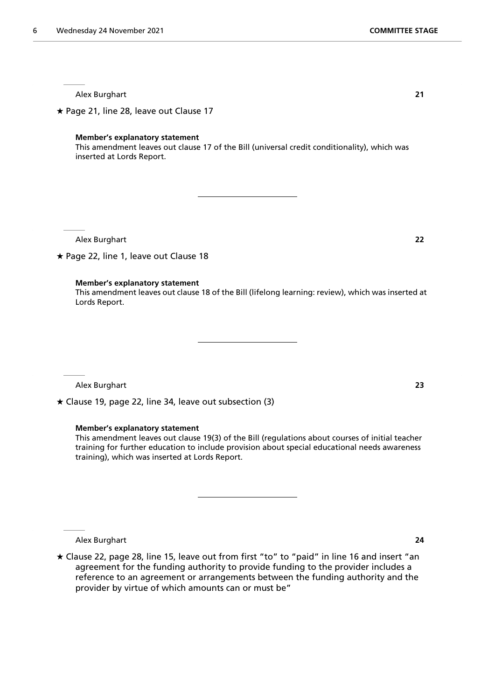$\star$  Page 21, line 28, leave out Clause 17

# **Member's explanatory statement**

This amendment leaves out clause 17 of the Bill (universal credit conditionality), which was inserted at Lords Report.

Alex Burghart **22**

 $\star$  Page 22, line 1, leave out Clause 18

# **Member's explanatory statement**

This amendment leaves out clause 18 of the Bill (lifelong learning: review), which was inserted at Lords Report.

Alex Burghart **23**

Clause 19, page 22, line 34, leave out subsection (3)

# **Member's explanatory statement**

This amendment leaves out clause 19(3) of the Bill (regulations about courses of initial teacher training for further education to include provision about special educational needs awareness training), which was inserted at Lords Report.

Alex Burghart **24**

 Clause 22, page 28, line 15, leave out from first "to" to "paid" in line 16 and insert "an agreement for the funding authority to provide funding to the provider includes a reference to an agreement or arrangements between the funding authority and the provider by virtue of which amounts can or must be"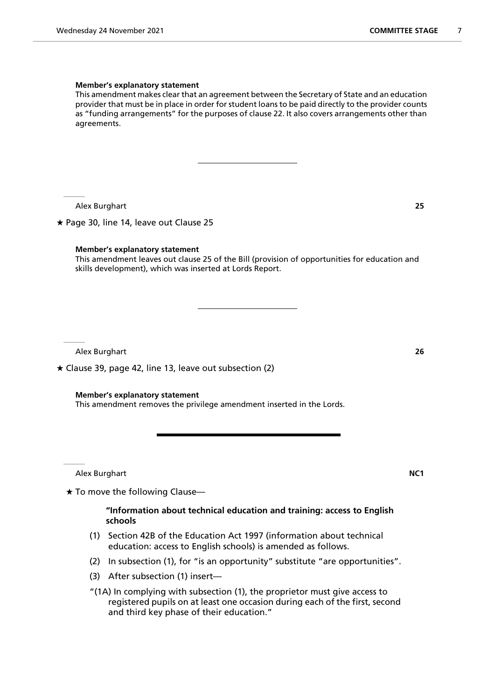#### **Member's explanatory statement**

This amendment makes clear that an agreement between the Secretary of State and an education provider that must be in place in order for student loans to be paid directly to the provider counts as "funding arrangements" for the purposes of clause 22. It also covers arrangements other than agreements.

Alex Burghart **25**

 $\star$  Page 30, line 14, leave out Clause 25

# **Member's explanatory statement**

This amendment leaves out clause 25 of the Bill (provision of opportunities for education and skills development), which was inserted at Lords Report.

Alex Burghart **26**

 $\star$  Clause 39, page 42, line 13, leave out subsection (2)

# **Member's explanatory statement**

This amendment removes the privilege amendment inserted in the Lords.

Alex Burghart **NC1**

 $\star$  To move the following Clause—

# **"Information about technical education and training: access to English schools**

- (1) Section 42B of the Education Act 1997 (information about technical education: access to English schools) is amended as follows.
- (2) In subsection (1), for "is an opportunity" substitute "are opportunities".
- (3) After subsection (1) insert—
- "(1A) In complying with subsection (1), the proprietor must give access to registered pupils on at least one occasion during each of the first, second and third key phase of their education."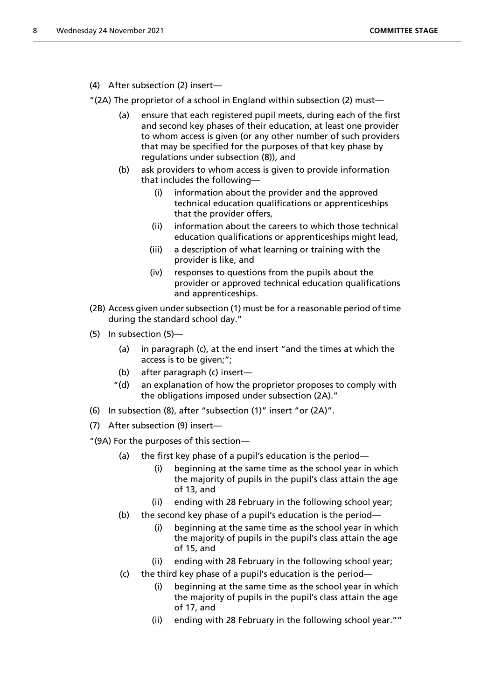(4) After subsection (2) insert—

"(2A) The proprietor of a school in England within subsection (2) must—

- (a) ensure that each registered pupil meets, during each of the first and second key phases of their education, at least one provider to whom access is given (or any other number of such providers that may be specified for the purposes of that key phase by regulations under subsection (8)), and
- (b) ask providers to whom access is given to provide information that includes the following—
	- (i) information about the provider and the approved technical education qualifications or apprenticeships that the provider offers,
	- (ii) information about the careers to which those technical education qualifications or apprenticeships might lead,
	- (iii) a description of what learning or training with the provider is like, and
	- (iv) responses to questions from the pupils about the provider or approved technical education qualifications and apprenticeships.
- (2B) Access given under subsection (1) must be for a reasonable period of time during the standard school day."
- (5) In subsection (5)—
	- (a) in paragraph (c), at the end insert "and the times at which the access is to be given;";
	- (b) after paragraph (c) insert—
	- "(d) an explanation of how the proprietor proposes to comply with the obligations imposed under subsection (2A)."
- (6) In subsection (8), after "subsection (1)" insert "or (2A)".
- (7) After subsection (9) insert—
- "(9A) For the purposes of this section—
	- (a) the first key phase of a pupil's education is the period—
		- (i) beginning at the same time as the school year in which the majority of pupils in the pupil's class attain the age of 13, and
		- (ii) ending with 28 February in the following school year;
	- (b) the second key phase of a pupil's education is the period—
		- (i) beginning at the same time as the school year in which the majority of pupils in the pupil's class attain the age of 15, and
		- (ii) ending with 28 February in the following school year;
	- (c) the third key phase of a pupil's education is the period—
		- (i) beginning at the same time as the school year in which the majority of pupils in the pupil's class attain the age of 17, and
		- (ii) ending with 28 February in the following school year.""